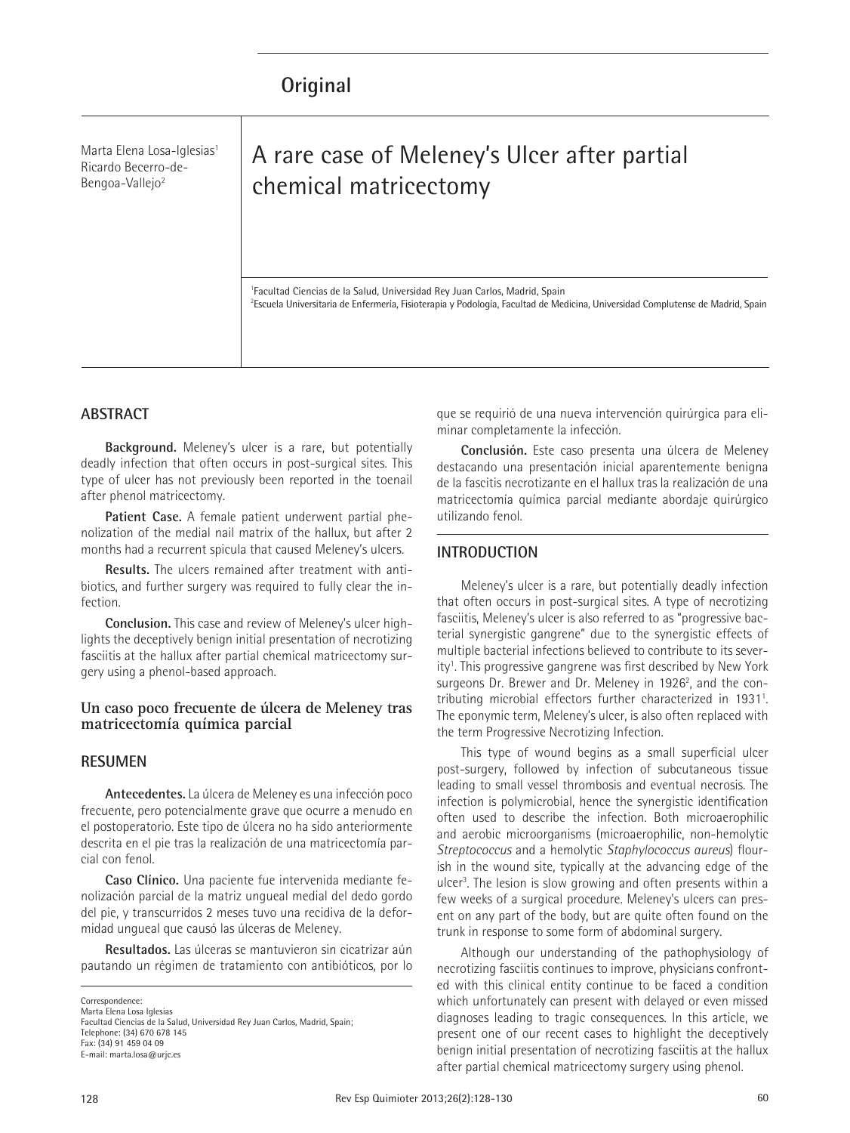Marta Elena Losa-Iglesias<sup>1</sup> Ricardo Becerro-de-Bengoa-Vallejo2

# A rare case of Meleney's Ulcer after partial chemical matricectomy

1 Facultad Ciencias de la Salud, Universidad Rey Juan Carlos, Madrid, Spain <sup>2</sup>Escuela Universitaria de Enfermería, Fisioterapia y Podología, Facultad de Medicina, Universidad Complutense de Madrid, Spain

# **ABSTRACT**

**Background.** Meleney's ulcer is a rare, but potentially deadly infection that often occurs in post-surgical sites. This type of ulcer has not previously been reported in the toenail after phenol matricectomy.

**Patient Case.** A female patient underwent partial phenolization of the medial nail matrix of the hallux, but after 2 months had a recurrent spicula that caused Meleney's ulcers.

**Results.** The ulcers remained after treatment with antibiotics, and further surgery was required to fully clear the infection.

**Conclusion.** This case and review of Meleney's ulcer highlights the deceptively benign initial presentation of necrotizing fasciitis at the hallux after partial chemical matricectomy surgery using a phenol-based approach.

#### **Un caso poco frecuente de úlcera de Meleney tras matricectomía química parcial**

#### **RESUMEN**

**Antecedentes.** La úlcera de Meleney es una infección poco frecuente, pero potencialmente grave que ocurre a menudo en el postoperatorio. Este tipo de úlcera no ha sido anteriormente descrita en el pie tras la realización de una matricectomía parcial con fenol.

**Caso Clínico.** Una paciente fue intervenida mediante fenolización parcial de la matriz ungueal medial del dedo gordo del pie, y transcurridos 2 meses tuvo una recidiva de la deformidad ungueal que causó las úlceras de Meleney.

**Resultados.** Las úlceras se mantuvieron sin cicatrizar aún pautando un régimen de tratamiento con antibióticos, por lo

**Correspondence** 

Marta Elena Losa Iglesias Facultad Ciencias de la Salud, Universidad Rey Juan Carlos, Madrid, Spain; Telephone: (34) 670 678 145 Fax: (34) 91 459 04 09 E-mail: marta.losa@urjc.es

que se requirió de una nueva intervención quirúrgica para eliminar completamente la infección.

**Conclusión.** Este caso presenta una úlcera de Meleney destacando una presentación inicial aparentemente benigna de la fascitis necrotizante en el hallux tras la realización de una matricectomía química parcial mediante abordaje quirúrgico utilizando fenol.

# **INTRODUCTION**

Meleney's ulcer is a rare, but potentially deadly infection that often occurs in post-surgical sites. A type of necrotizing fasciitis, Meleney's ulcer is also referred to as "progressive bacterial synergistic gangrene" due to the synergistic effects of multiple bacterial infections believed to contribute to its severity<sup>1</sup>. This progressive gangrene was first described by New York surgeons Dr. Brewer and Dr. Meleney in 1926<sup>2</sup>, and the contributing microbial effectors further characterized in 1931<sup>1</sup>. The eponymic term, Meleney's ulcer, is also often replaced with the term Progressive Necrotizing Infection.

This type of wound begins as a small superficial ulcer post-surgery, followed by infection of subcutaneous tissue leading to small vessel thrombosis and eventual necrosis. The infection is polymicrobial, hence the synergistic identification often used to describe the infection. Both microaerophilic and aerobic microorganisms (microaerophilic, non-hemolytic *Streptococcus* and a hemolytic *Staphylococcus aureus*) flourish in the wound site, typically at the advancing edge of the ulcer<sup>3</sup>. The lesion is slow growing and often presents within a few weeks of a surgical procedure. Meleney's ulcers can present on any part of the body, but are quite often found on the trunk in response to some form of abdominal surgery.

Although our understanding of the pathophysiology of necrotizing fasciitis continues to improve, physicians confronted with this clinical entity continue to be faced a condition which unfortunately can present with delayed or even missed diagnoses leading to tragic consequences. In this article, we present one of our recent cases to highlight the deceptively benign initial presentation of necrotizing fasciitis at the hallux after partial chemical matricectomy surgery using phenol.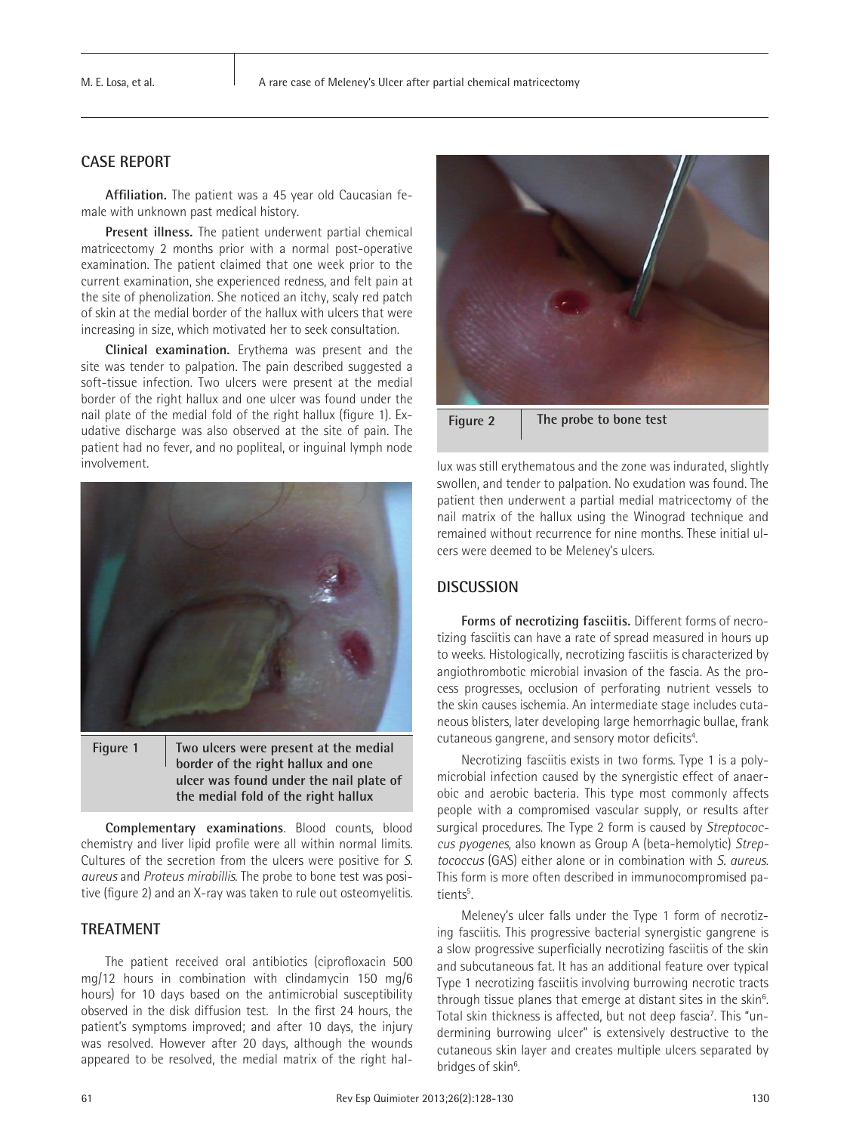# **CASE REPORT**

**Affiliation.** The patient was a 45 year old Caucasian female with unknown past medical history.

**Present illness.** The patient underwent partial chemical matricectomy 2 months prior with a normal post-operative examination. The patient claimed that one week prior to the current examination, she experienced redness, and felt pain at the site of phenolization. She noticed an itchy, scaly red patch of skin at the medial border of the hallux with ulcers that were increasing in size, which motivated her to seek consultation.

**Clinical examination.** Erythema was present and the site was tender to palpation. The pain described suggested a soft-tissue infection. Two ulcers were present at the medial border of the right hallux and one ulcer was found under the nail plate of the medial fold of the right hallux (figure 1). Exudative discharge was also observed at the site of pain. The patient had no fever, and no popliteal, or inguinal lymph node involvement.





**Complementary examinations**. Blood counts, blood chemistry and liver lipid profile were all within normal limits. Cultures of the secretion from the ulcers were positive for *S. aureus* and *Proteus mirabillis*. The probe to bone test was positive (figure 2) and an X-ray was taken to rule out osteomyelitis.

#### **TREATMENT**

The patient received oral antibiotics (ciprofloxacin 500 mg/12 hours in combination with clindamycin 150 mg/6 hours) for 10 days based on the antimicrobial susceptibility observed in the disk diffusion test. In the first 24 hours, the patient's symptoms improved; and after 10 days, the injury was resolved. However after 20 days, although the wounds appeared to be resolved, the medial matrix of the right hal-



swollen, and tender to palpation. No exudation was found. The patient then underwent a partial medial matricectomy of the nail matrix of the hallux using the Winograd technique and remained without recurrence for nine months. These initial ulcers were deemed to be Meleney's ulcers.

# **DISCUSSION**

**Forms of necrotizing fasciitis.** Different forms of necrotizing fasciitis can have a rate of spread measured in hours up to weeks. Histologically, necrotizing fasciitis is characterized by angiothrombotic microbial invasion of the fascia. As the process progresses, occlusion of perforating nutrient vessels to the skin causes ischemia. An intermediate stage includes cutaneous blisters, later developing large hemorrhagic bullae, frank cutaneous gangrene, and sensory motor deficits<sup>4</sup>. .

Necrotizing fasciitis exists in two forms. Type 1 is a polymicrobial infection caused by the synergistic effect of anaerobic and aerobic bacteria. This type most commonly affects people with a compromised vascular supply, or results after surgical procedures. The Type 2 form is caused by *Streptococcus pyogenes*, also known as Group A (beta-hemolytic) *Streptococcus* (GAS) either alone or in combination with *S. aureus*. This form is more often described in immunocompromised patients<sup>5</sup>. .

Meleney's ulcer falls under the Type 1 form of necrotizing fasciitis. This progressive bacterial synergistic gangrene is a slow progressive superficially necrotizing fasciitis of the skin and subcutaneous fat. It has an additional feature over typical Type 1 necrotizing fasciitis involving burrowing necrotic tracts through tissue planes that emerge at distant sites in the skin<sup>6</sup>. Total skin thickness is affected, but not deep fascia<sup>7</sup>. This "undermining burrowing ulcer" is extensively destructive to the cutaneous skin layer and creates multiple ulcers separated by bridges of skin<sup>6</sup>. .